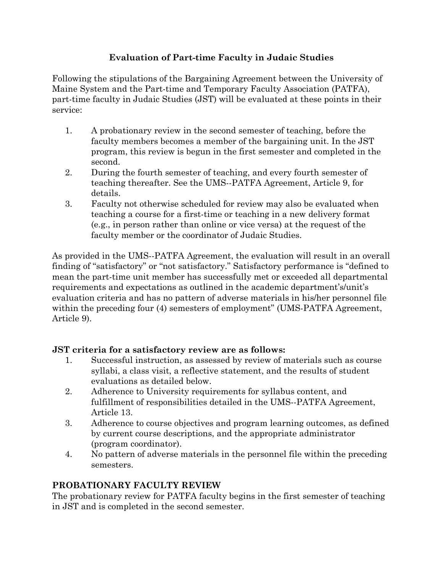## **Evaluation of Part-time Faculty in Judaic Studies**

Following the stipulations of the Bargaining Agreement between the University of Maine System and the Part-time and Temporary Faculty Association (PATFA), part-time faculty in Judaic Studies (JST) will be evaluated at these points in their service:

- 1. A probationary review in the second semester of teaching, before the faculty members becomes a member of the bargaining unit. In the JST program, this review is begun in the first semester and completed in the second.
- 2. During the fourth semester of teaching, and every fourth semester of teaching thereafter. See the UMS--PATFA Agreement, Article 9, for details.
- 3. Faculty not otherwise scheduled for review may also be evaluated when teaching a course for a first-time or teaching in a new delivery format (e.g., in person rather than online or vice versa) at the request of the faculty member or the coordinator of Judaic Studies.

As provided in the UMS--PATFA Agreement, the evaluation will result in an overall finding of "satisfactory" or "not satisfactory." Satisfactory performance is "defined to mean the part-time unit member has successfully met or exceeded all departmental requirements and expectations as outlined in the academic department's/unit's evaluation criteria and has no pattern of adverse materials in his/her personnel file within the preceding four (4) semesters of employment" (UMS-PATFA Agreement, Article 9).

## **JST criteria for a satisfactory review are as follows:**

- 1. Successful instruction, as assessed by review of materials such as course syllabi, a class visit, a reflective statement, and the results of student evaluations as detailed below.
- 2. Adherence to University requirements for syllabus content, and fulfillment of responsibilities detailed in the UMS--PATFA Agreement, Article 13.
- 3. Adherence to course objectives and program learning outcomes, as defined by current course descriptions, and the appropriate administrator (program coordinator).
- 4. No pattern of adverse materials in the personnel file within the preceding semesters.

# **PROBATIONARY FACULTY REVIEW**

The probationary review for PATFA faculty begins in the first semester of teaching in JST and is completed in the second semester.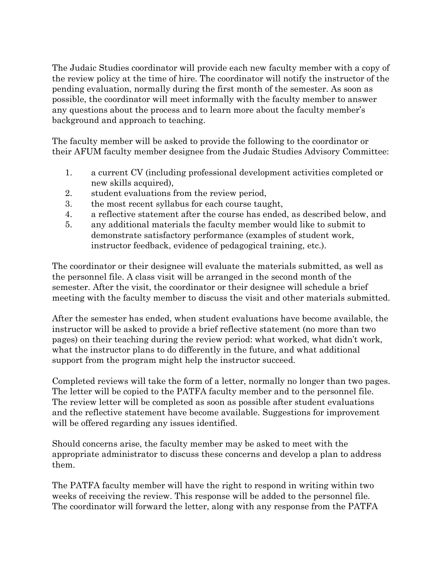The Judaic Studies coordinator will provide each new faculty member with a copy of the review policy at the time of hire. The coordinator will notify the instructor of the pending evaluation, normally during the first month of the semester. As soon as possible, the coordinator will meet informally with the faculty member to answer any questions about the process and to learn more about the faculty member's background and approach to teaching.

The faculty member will be asked to provide the following to the coordinator or their AFUM faculty member designee from the Judaic Studies Advisory Committee:

- 1. a current CV (including professional development activities completed or new skills acquired),
- 2. student evaluations from the review period,
- 3. the most recent syllabus for each course taught,
- 4. a reflective statement after the course has ended, as described below, and
- 5. any additional materials the faculty member would like to submit to demonstrate satisfactory performance (examples of student work, instructor feedback, evidence of pedagogical training, etc.).

The coordinator or their designee will evaluate the materials submitted, as well as the personnel file. A class visit will be arranged in the second month of the semester. After the visit, the coordinator or their designee will schedule a brief meeting with the faculty member to discuss the visit and other materials submitted.

After the semester has ended, when student evaluations have become available, the instructor will be asked to provide a brief reflective statement (no more than two pages) on their teaching during the review period: what worked, what didn't work, what the instructor plans to do differently in the future, and what additional support from the program might help the instructor succeed.

Completed reviews will take the form of a letter, normally no longer than two pages. The letter will be copied to the PATFA faculty member and to the personnel file. The review letter will be completed as soon as possible after student evaluations and the reflective statement have become available. Suggestions for improvement will be offered regarding any issues identified.

Should concerns arise, the faculty member may be asked to meet with the appropriate administrator to discuss these concerns and develop a plan to address them.

The PATFA faculty member will have the right to respond in writing within two weeks of receiving the review. This response will be added to the personnel file. The coordinator will forward the letter, along with any response from the PATFA